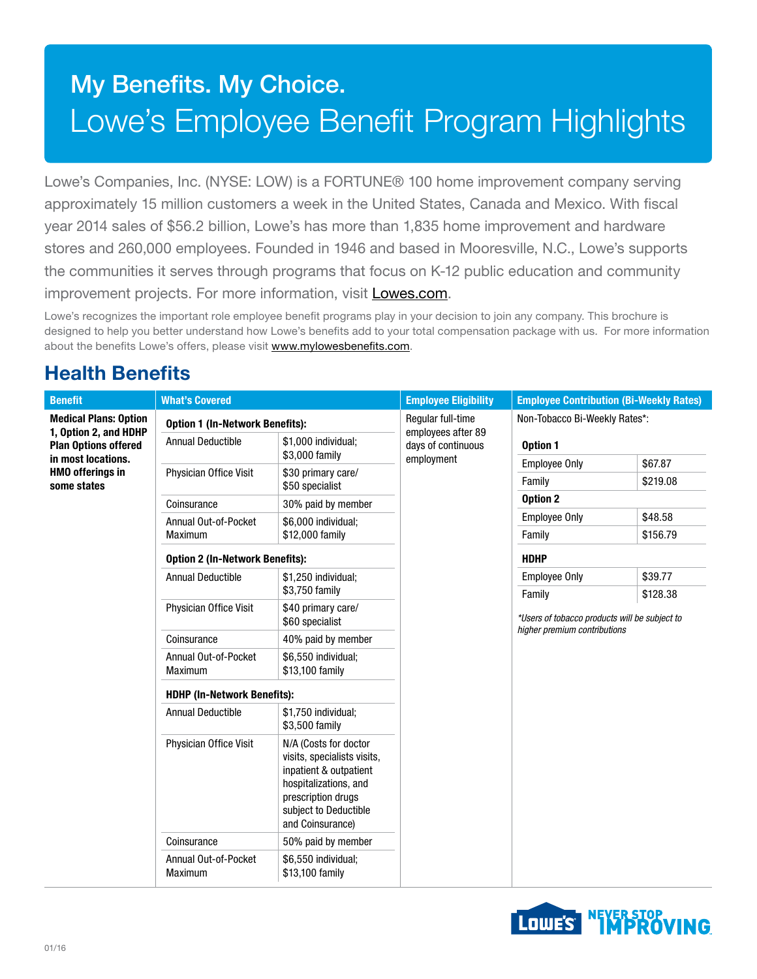# My Benefits. My Choice. Lowe's Employee Benefit Program Highlights

Lowe's Companies, Inc. (NYSE: LOW) is a FORTUNE® 100 home improvement company serving approximately 15 million customers a week in the United States, Canada and Mexico. With fiscal year 2014 sales of \$56.2 billion, Lowe's has more than 1,835 home improvement and hardware stores and 260,000 employees. Founded in 1946 and based in Mooresville, N.C., Lowe's supports the communities it serves through programs that focus on K-12 public education and community improvement projects. For more information, visit [Lowes.com](http://Lowes.com).

Lowe's recognizes the important role employee benefit programs play in your decision to join any company. This brochure is designed to help you better understand how Lowe's benefits add to your total compensation package with us. For more information about the benefits Lowe's offers, please visit www.mylowesbenefits.com.

## Health Benefits

| <b>Benefit</b>                                                                                                                                       | <b>What's Covered</b>                                                                     |                                                                                                                                                                            | <b>Employee Eligibility</b>             | <b>Employee Contribution (Bi-Weekly Rates)</b>                      |                     |  |
|------------------------------------------------------------------------------------------------------------------------------------------------------|-------------------------------------------------------------------------------------------|----------------------------------------------------------------------------------------------------------------------------------------------------------------------------|-----------------------------------------|---------------------------------------------------------------------|---------------------|--|
| <b>Medical Plans: Option</b><br>1, Option 2, and HDHP<br><b>Plan Options offered</b><br>in most locations.<br><b>HMO offerings in</b><br>some states | <b>Option 1 (In-Network Benefits):</b><br><b>Annual Deductible</b><br>\$1,000 individual; |                                                                                                                                                                            | Regular full-time<br>employees after 89 | Non-Tobacco Bi-Weekly Rates*:                                       |                     |  |
|                                                                                                                                                      |                                                                                           | \$3,000 family                                                                                                                                                             | days of continuous<br>employment        | Option 1                                                            |                     |  |
|                                                                                                                                                      | Physician Office Visit                                                                    | \$30 primary care/<br>\$50 specialist                                                                                                                                      |                                         | <b>Employee Only</b><br>Family                                      | \$67.87<br>\$219.08 |  |
|                                                                                                                                                      | Coinsurance                                                                               | 30% paid by member                                                                                                                                                         |                                         | Option 2                                                            |                     |  |
|                                                                                                                                                      | Annual Out-of-Pocket                                                                      | \$6,000 individual;                                                                                                                                                        |                                         | <b>Employee Only</b>                                                | \$48.58             |  |
|                                                                                                                                                      | <b>Maximum</b>                                                                            | \$12,000 family                                                                                                                                                            |                                         | Family                                                              | \$156.79            |  |
|                                                                                                                                                      | <b>Option 2 (In-Network Benefits):</b>                                                    |                                                                                                                                                                            |                                         | <b>HDHP</b>                                                         |                     |  |
|                                                                                                                                                      | <b>Annual Deductible</b>                                                                  | \$1,250 individual;                                                                                                                                                        |                                         | <b>Employee Only</b>                                                | \$39.77             |  |
|                                                                                                                                                      | Physician Office Visit                                                                    | \$3,750 family<br>\$40 primary care/<br>\$60 specialist                                                                                                                    |                                         | \$128.38<br>Family<br>*Users of tobacco products will be subject to |                     |  |
|                                                                                                                                                      | Coinsurance                                                                               | 40% paid by member                                                                                                                                                         |                                         | higher premium contributions                                        |                     |  |
|                                                                                                                                                      | Annual Out-of-Pocket<br>Maximum                                                           | \$6,550 individual;<br>\$13,100 family                                                                                                                                     |                                         |                                                                     |                     |  |
|                                                                                                                                                      | <b>HDHP (In-Network Benefits):</b>                                                        |                                                                                                                                                                            |                                         |                                                                     |                     |  |
|                                                                                                                                                      | <b>Annual Deductible</b>                                                                  | \$1,750 individual;<br>\$3,500 family                                                                                                                                      |                                         |                                                                     |                     |  |
|                                                                                                                                                      | Physician Office Visit                                                                    | N/A (Costs for doctor<br>visits, specialists visits,<br>inpatient & outpatient<br>hospitalizations, and<br>prescription drugs<br>subject to Deductible<br>and Coinsurance) |                                         |                                                                     |                     |  |
|                                                                                                                                                      | Coinsurance                                                                               | 50% paid by member                                                                                                                                                         |                                         |                                                                     |                     |  |
|                                                                                                                                                      | Annual Out-of-Pocket<br>Maximum                                                           | \$6,550 individual;<br>\$13,100 family                                                                                                                                     |                                         |                                                                     |                     |  |

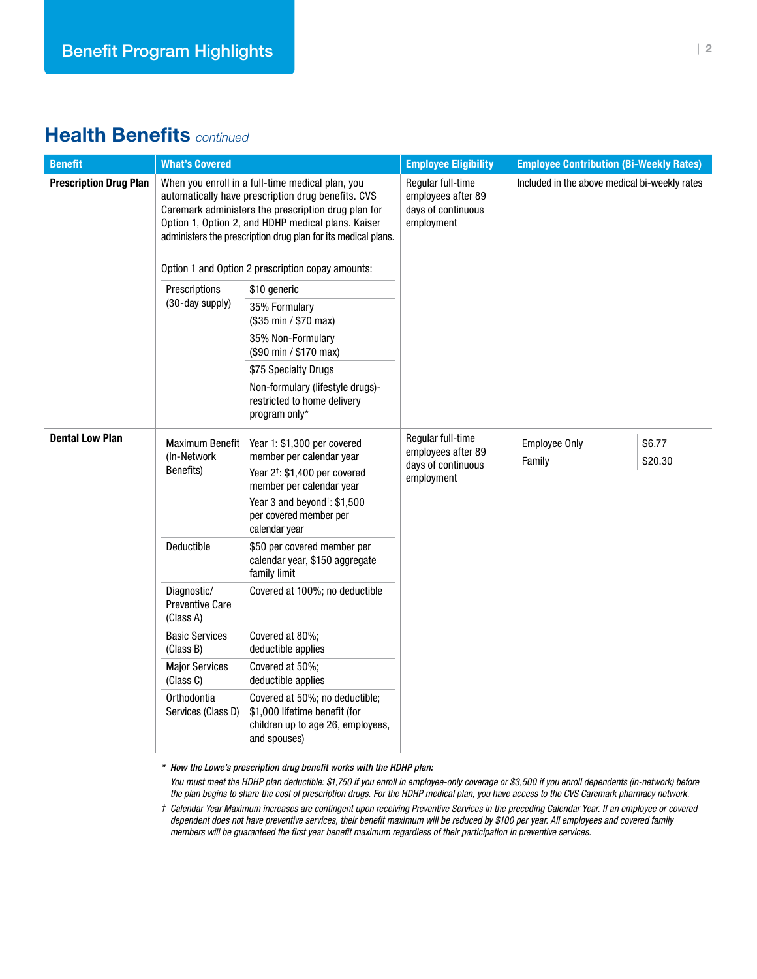#### Health Benefits *continued*

| <b>Benefit</b>                | <b>What's Covered</b>                                                                                                                                                                                                                                                                |                                                                                                                      | <b>Employee Eligibility</b>                                                 | <b>Employee Contribution (Bi-Weekly Rates)</b> |         |  |
|-------------------------------|--------------------------------------------------------------------------------------------------------------------------------------------------------------------------------------------------------------------------------------------------------------------------------------|----------------------------------------------------------------------------------------------------------------------|-----------------------------------------------------------------------------|------------------------------------------------|---------|--|
| <b>Prescription Drug Plan</b> | When you enroll in a full-time medical plan, you<br>automatically have prescription drug benefits. CVS<br>Caremark administers the prescription drug plan for<br>Option 1, Option 2, and HDHP medical plans. Kaiser<br>administers the prescription drug plan for its medical plans. |                                                                                                                      | Regular full-time<br>employees after 89<br>days of continuous<br>employment | Included in the above medical bi-weekly rates  |         |  |
|                               | Option 1 and Option 2 prescription copay amounts:                                                                                                                                                                                                                                    |                                                                                                                      |                                                                             |                                                |         |  |
|                               | Prescriptions                                                                                                                                                                                                                                                                        | \$10 generic                                                                                                         |                                                                             |                                                |         |  |
|                               | (30-day supply)                                                                                                                                                                                                                                                                      | 35% Formulary<br>(\$35 min / \$70 max)                                                                               |                                                                             |                                                |         |  |
|                               |                                                                                                                                                                                                                                                                                      | 35% Non-Formulary<br>(\$90 min / \$170 max)                                                                          |                                                                             |                                                |         |  |
|                               |                                                                                                                                                                                                                                                                                      | \$75 Specialty Drugs                                                                                                 |                                                                             |                                                |         |  |
|                               |                                                                                                                                                                                                                                                                                      | Non-formulary (lifestyle drugs)-<br>restricted to home delivery<br>program only*                                     |                                                                             |                                                |         |  |
| <b>Dental Low Plan</b>        | <b>Maximum Benefit</b><br>(In-Network<br>Benefits)                                                                                                                                                                                                                                   | Year 1: \$1,300 per covered                                                                                          | Regular full-time<br>employees after 89<br>days of continuous<br>employment | <b>Employee Only</b>                           | \$6.77  |  |
|                               |                                                                                                                                                                                                                                                                                      | member per calendar year<br>Year 2 <sup>+</sup> : \$1,400 per covered<br>member per calendar year                    |                                                                             | Family                                         | \$20.30 |  |
|                               |                                                                                                                                                                                                                                                                                      | Year 3 and beyond <sup>†</sup> : \$1,500<br>per covered member per<br>calendar year                                  |                                                                             |                                                |         |  |
|                               | Deductible                                                                                                                                                                                                                                                                           | \$50 per covered member per<br>calendar year, \$150 aggregate<br>family limit                                        |                                                                             |                                                |         |  |
|                               | Diagnostic/<br><b>Preventive Care</b><br>(Class A)                                                                                                                                                                                                                                   | Covered at 100%; no deductible                                                                                       |                                                                             |                                                |         |  |
|                               | <b>Basic Services</b><br>(Class B)                                                                                                                                                                                                                                                   | Covered at 80%;<br>deductible applies                                                                                |                                                                             |                                                |         |  |
|                               | <b>Major Services</b><br>(Class C)                                                                                                                                                                                                                                                   | Covered at 50%;<br>deductible applies                                                                                |                                                                             |                                                |         |  |
|                               | Orthodontia<br>Services (Class D)                                                                                                                                                                                                                                                    | Covered at 50%; no deductible;<br>\$1,000 lifetime benefit (for<br>children up to age 26, employees,<br>and spouses) |                                                                             |                                                |         |  |

*\* How the Lowe's prescription drug benefit works with the HDHP plan:*

*You must meet the HDHP plan deductible: \$1,750 if you enroll in employee-only coverage or \$3,500 if you enroll dependents (in-network) before the plan begins to share the cost of prescription drugs. For the HDHP medical plan, you have access to the CVS Caremark pharmacy network.*

*† Calendar Year Maximum increases are contingent upon receiving Preventive Services in the preceding Calendar Year. If an employee or covered dependent does not have preventive services, their benefit maximum will be reduced by \$100 per year. All employees and covered family members will be guaranteed the first year benefit maximum regardless of their participation in preventive services.*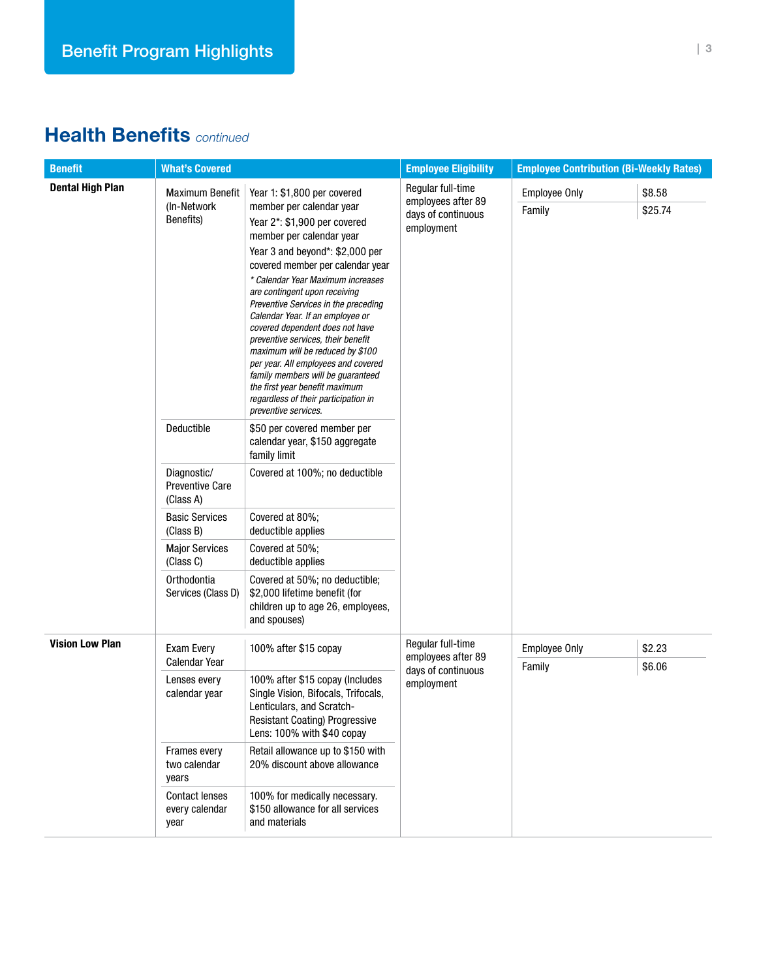## Health Benefits *continued*

| <b>Benefit</b>          | <b>What's Covered</b>                              |                                                                                                                                                                                                                                                                                                                                                                                                                                                                                                                                                                                                                                         | <b>Employee Eligibility</b>                                                 | <b>Employee Contribution (Bi-Weekly Rates)</b> |                   |
|-------------------------|----------------------------------------------------|-----------------------------------------------------------------------------------------------------------------------------------------------------------------------------------------------------------------------------------------------------------------------------------------------------------------------------------------------------------------------------------------------------------------------------------------------------------------------------------------------------------------------------------------------------------------------------------------------------------------------------------------|-----------------------------------------------------------------------------|------------------------------------------------|-------------------|
| <b>Dental High Plan</b> | <b>Maximum Benefit</b><br>(In-Network<br>Benefits) | Year 1: \$1,800 per covered<br>member per calendar year<br>Year 2*: \$1,900 per covered<br>member per calendar year<br>Year 3 and beyond*: \$2,000 per<br>covered member per calendar year<br>* Calendar Year Maximum increases<br>are contingent upon receiving<br>Preventive Services in the preceding<br>Calendar Year. If an employee or<br>covered dependent does not have<br>preventive services, their benefit<br>maximum will be reduced by \$100<br>per year. All employees and covered<br>family members will be guaranteed<br>the first year benefit maximum<br>regardless of their participation in<br>preventive services. | Regular full-time<br>employees after 89<br>days of continuous<br>employment | <b>Employee Only</b><br>Family                 | \$8.58<br>\$25.74 |
|                         | Deductible<br>Diagnostic/                          | \$50 per covered member per<br>calendar year, \$150 aggregate<br>family limit<br>Covered at 100%; no deductible                                                                                                                                                                                                                                                                                                                                                                                                                                                                                                                         |                                                                             |                                                |                   |
|                         | Preventive Care<br>(Class A)                       |                                                                                                                                                                                                                                                                                                                                                                                                                                                                                                                                                                                                                                         |                                                                             |                                                |                   |
|                         | <b>Basic Services</b><br>(Class B)                 | Covered at 80%;<br>deductible applies                                                                                                                                                                                                                                                                                                                                                                                                                                                                                                                                                                                                   |                                                                             |                                                |                   |
|                         | <b>Major Services</b><br>(Class C)                 | Covered at 50%;<br>deductible applies                                                                                                                                                                                                                                                                                                                                                                                                                                                                                                                                                                                                   |                                                                             |                                                |                   |
|                         | Orthodontia<br>Services (Class D)                  | Covered at 50%; no deductible;<br>\$2,000 lifetime benefit (for<br>children up to age 26, employees,<br>and spouses)                                                                                                                                                                                                                                                                                                                                                                                                                                                                                                                    |                                                                             |                                                |                   |
| <b>Vision Low Plan</b>  | Exam Every                                         | 100% after \$15 copay                                                                                                                                                                                                                                                                                                                                                                                                                                                                                                                                                                                                                   | Regular full-time<br>employees after 89<br>days of continuous<br>employment | <b>Employee Only</b>                           | \$2.23            |
|                         | Calendar Year<br>Lenses every<br>calendar year     | 100% after \$15 copay (Includes<br>Single Vision, Bifocals, Trifocals,<br>Lenticulars, and Scratch-<br><b>Resistant Coating) Progressive</b><br>Lens: 100% with \$40 copay                                                                                                                                                                                                                                                                                                                                                                                                                                                              |                                                                             | Family                                         | \$6.06            |
|                         | Frames every<br>two calendar<br>years              | Retail allowance up to \$150 with<br>20% discount above allowance                                                                                                                                                                                                                                                                                                                                                                                                                                                                                                                                                                       |                                                                             |                                                |                   |
|                         | <b>Contact lenses</b><br>every calendar<br>year    | 100% for medically necessary.<br>\$150 allowance for all services<br>and materials                                                                                                                                                                                                                                                                                                                                                                                                                                                                                                                                                      |                                                                             |                                                |                   |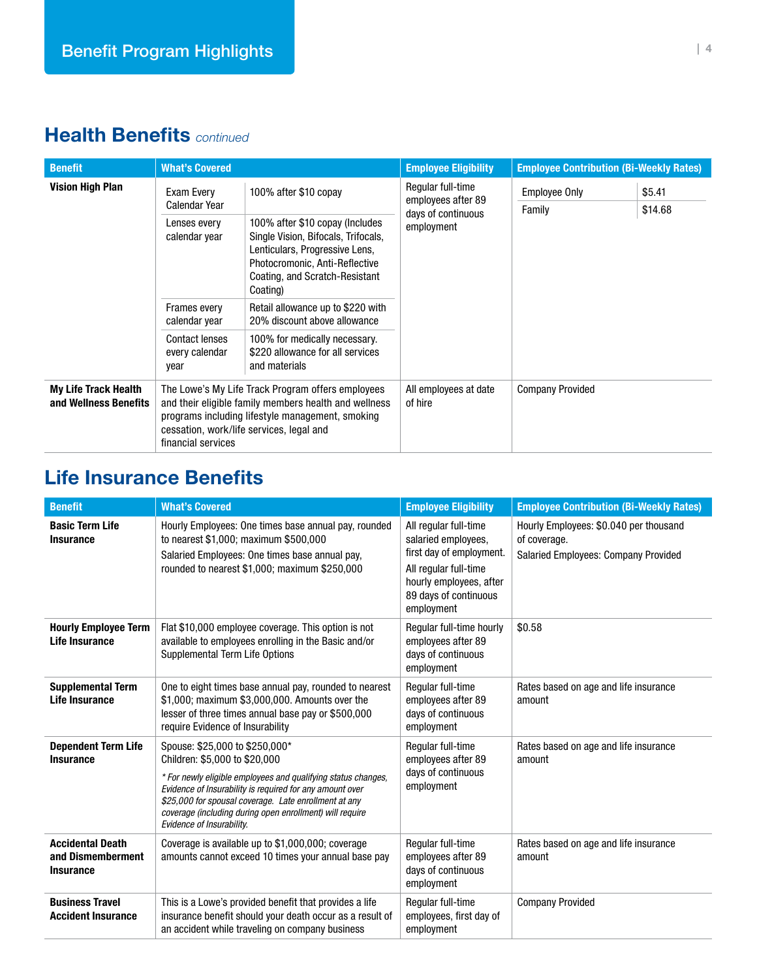## Health Benefits *continued*

| <b>Benefit</b>                                       | <b>What's Covered</b>                                                                                                                                                                                                            |                                                                                                                                                                                          | <b>Employee Eligibility</b>                                                 | <b>Employee Contribution (Bi-Weekly Rates)</b> |                   |
|------------------------------------------------------|----------------------------------------------------------------------------------------------------------------------------------------------------------------------------------------------------------------------------------|------------------------------------------------------------------------------------------------------------------------------------------------------------------------------------------|-----------------------------------------------------------------------------|------------------------------------------------|-------------------|
| <b>Vision High Plan</b>                              | Exam Every<br><b>Calendar Year</b>                                                                                                                                                                                               | 100% after \$10 copay                                                                                                                                                                    | Regular full-time<br>employees after 89<br>days of continuous<br>employment | <b>Employee Only</b><br>Family                 | \$5.41<br>\$14.68 |
|                                                      | Lenses every<br>calendar year                                                                                                                                                                                                    | 100% after \$10 copay (Includes<br>Single Vision, Bifocals, Trifocals,<br>Lenticulars, Progressive Lens,<br>Photocromonic, Anti-Reflective<br>Coating, and Scratch-Resistant<br>Coating) |                                                                             |                                                |                   |
|                                                      | <b>Frames every</b><br>calendar year                                                                                                                                                                                             | Retail allowance up to \$220 with<br>20% discount above allowance                                                                                                                        |                                                                             |                                                |                   |
|                                                      | <b>Contact lenses</b><br>every calendar<br>year                                                                                                                                                                                  | 100% for medically necessary.<br>\$220 allowance for all services<br>and materials                                                                                                       |                                                                             |                                                |                   |
| <b>My Life Track Health</b><br>and Wellness Benefits | The Lowe's My Life Track Program offers employees<br>and their eligible family members health and wellness<br>programs including lifestyle management, smoking<br>cessation, work/life services, legal and<br>financial services |                                                                                                                                                                                          | All employees at date<br>of hire                                            | <b>Company Provided</b>                        |                   |

## Life Insurance Benefits

| <b>Benefit</b>                                                   | <b>What's Covered</b>                                                                                                                                                                                                                                                                                                                          | <b>Employee Eligibility</b>                                                                                                                                         | <b>Employee Contribution (Bi-Weekly Rates)</b>                                                        |
|------------------------------------------------------------------|------------------------------------------------------------------------------------------------------------------------------------------------------------------------------------------------------------------------------------------------------------------------------------------------------------------------------------------------|---------------------------------------------------------------------------------------------------------------------------------------------------------------------|-------------------------------------------------------------------------------------------------------|
| <b>Basic Term Life</b><br><b>Insurance</b>                       | Hourly Employees: One times base annual pay, rounded<br>to nearest \$1,000; maximum \$500,000<br>Salaried Employees: One times base annual pay,<br>rounded to nearest \$1,000; maximum \$250,000                                                                                                                                               | All regular full-time<br>salaried employees,<br>first day of employment.<br>All regular full-time<br>hourly employees, after<br>89 days of continuous<br>employment | Hourly Employees: \$0.040 per thousand<br>of coverage.<br><b>Salaried Employees: Company Provided</b> |
| <b>Hourly Employee Term</b><br>Life Insurance                    | Flat \$10,000 employee coverage. This option is not<br>available to employees enrolling in the Basic and/or<br>Supplemental Term Life Options                                                                                                                                                                                                  | Regular full-time hourly<br>employees after 89<br>days of continuous<br>employment                                                                                  | \$0.58                                                                                                |
| <b>Supplemental Term</b><br>Life Insurance                       | One to eight times base annual pay, rounded to nearest<br>\$1,000; maximum \$3,000,000. Amounts over the<br>lesser of three times annual base pay or \$500,000<br>require Evidence of Insurability                                                                                                                                             | Regular full-time<br>employees after 89<br>days of continuous<br>employment                                                                                         | Rates based on age and life insurance<br>amount                                                       |
| <b>Dependent Term Life</b><br><b>Insurance</b>                   | Spouse: \$25,000 to \$250,000*<br>Children: \$5,000 to \$20,000<br>* For newly eligible employees and qualifying status changes,<br>Evidence of Insurability is required for any amount over<br>\$25,000 for spousal coverage. Late enrollment at any<br>coverage (including during open enrollment) will require<br>Evidence of Insurability. | Regular full-time<br>employees after 89<br>days of continuous<br>employment                                                                                         | Rates based on age and life insurance<br>amount                                                       |
| <b>Accidental Death</b><br>and Dismemberment<br><b>Insurance</b> | Coverage is available up to \$1,000,000; coverage<br>amounts cannot exceed 10 times your annual base pay                                                                                                                                                                                                                                       | Regular full-time<br>employees after 89<br>days of continuous<br>employment                                                                                         | Rates based on age and life insurance<br>amount                                                       |
| <b>Business Travel</b><br><b>Accident Insurance</b>              | This is a Lowe's provided benefit that provides a life<br>insurance benefit should your death occur as a result of<br>an accident while traveling on company business                                                                                                                                                                          | Regular full-time<br>employees, first day of<br>employment                                                                                                          | <b>Company Provided</b>                                                                               |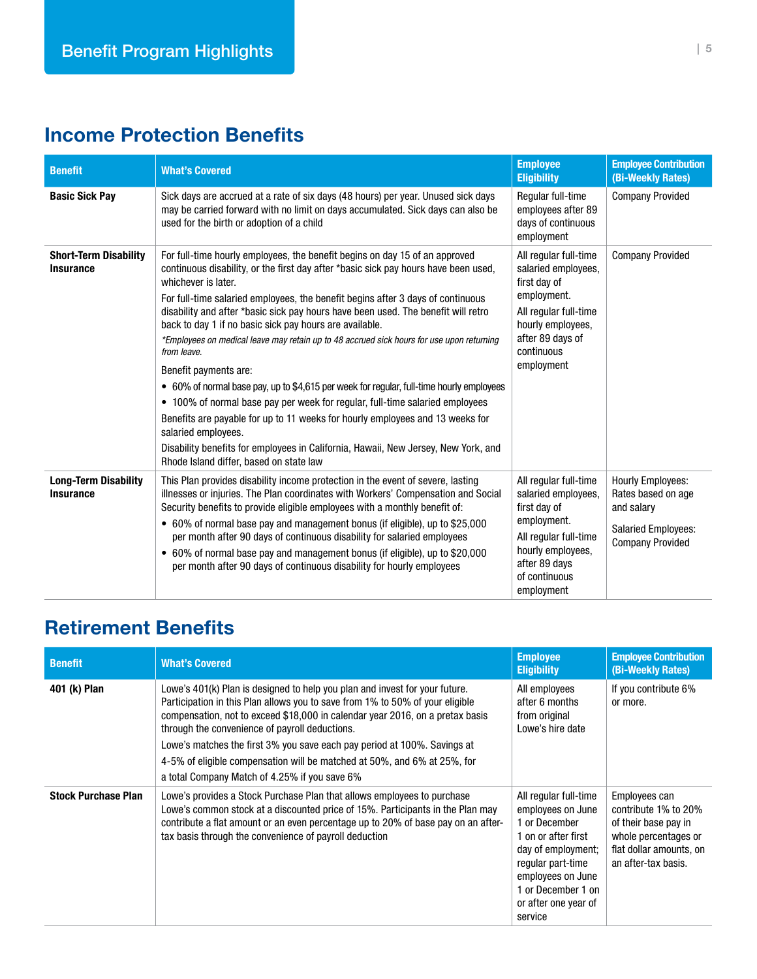## Income Protection Benefits

| <b>Benefit</b>                                   | <b>What's Covered</b>                                                                                                                                                                                                                                                                                                                                                                                                                                                                                                                                                                                                                                                                                                                                                                                                                                                                                                                                                                  | <b>Employee</b><br><b>Eligibility</b>                                                                                                                                     | <b>Employee Contribution</b><br>(Bi-Weekly Rates)                                                                     |
|--------------------------------------------------|----------------------------------------------------------------------------------------------------------------------------------------------------------------------------------------------------------------------------------------------------------------------------------------------------------------------------------------------------------------------------------------------------------------------------------------------------------------------------------------------------------------------------------------------------------------------------------------------------------------------------------------------------------------------------------------------------------------------------------------------------------------------------------------------------------------------------------------------------------------------------------------------------------------------------------------------------------------------------------------|---------------------------------------------------------------------------------------------------------------------------------------------------------------------------|-----------------------------------------------------------------------------------------------------------------------|
| <b>Basic Sick Pay</b>                            | Sick days are accrued at a rate of six days (48 hours) per year. Unused sick days<br>may be carried forward with no limit on days accumulated. Sick days can also be<br>used for the birth or adoption of a child                                                                                                                                                                                                                                                                                                                                                                                                                                                                                                                                                                                                                                                                                                                                                                      | Regular full-time<br>employees after 89<br>days of continuous<br>employment                                                                                               | <b>Company Provided</b>                                                                                               |
| <b>Short-Term Disability</b><br><b>Insurance</b> | For full-time hourly employees, the benefit begins on day 15 of an approved<br>continuous disability, or the first day after *basic sick pay hours have been used,<br>whichever is later.<br>For full-time salaried employees, the benefit begins after 3 days of continuous<br>disability and after *basic sick pay hours have been used. The benefit will retro<br>back to day 1 if no basic sick pay hours are available.<br>*Employees on medical leave may retain up to 48 accrued sick hours for use upon returning<br>from leave.<br>Benefit payments are:<br>• 60% of normal base pay, up to \$4,615 per week for regular, full-time hourly employees<br>• 100% of normal base pay per week for regular, full-time salaried employees<br>Benefits are payable for up to 11 weeks for hourly employees and 13 weeks for<br>salaried employees.<br>Disability benefits for employees in California, Hawaii, New Jersey, New York, and<br>Rhode Island differ, based on state law | All regular full-time<br>salaried employees,<br>first day of<br>employment.<br>All regular full-time<br>hourly employees,<br>after 89 days of<br>continuous<br>employment | <b>Company Provided</b>                                                                                               |
| <b>Long-Term Disability</b><br><b>Insurance</b>  | This Plan provides disability income protection in the event of severe, lasting<br>illnesses or injuries. The Plan coordinates with Workers' Compensation and Social<br>Security benefits to provide eligible employees with a monthly benefit of:<br>• 60% of normal base pay and management bonus (if eligible), up to \$25,000<br>per month after 90 days of continuous disability for salaried employees<br>• 60% of normal base pay and management bonus (if eligible), up to \$20,000<br>per month after 90 days of continuous disability for hourly employees                                                                                                                                                                                                                                                                                                                                                                                                                   | All regular full-time<br>salaried employees,<br>first day of<br>employment.<br>All regular full-time<br>hourly employees,<br>after 89 days<br>of continuous<br>employment | <b>Hourly Employees:</b><br>Rates based on age<br>and salary<br><b>Salaried Employees:</b><br><b>Company Provided</b> |

## Retirement Benefits

| <b>Benefit</b>             | <b>What's Covered</b>                                                                                                                                                                                                                                                                                                                                                                                                                                                                                    | <b>Employee</b><br><b>Eligibility</b>                                                                                                                                                                       | <b>Employee Contribution</b><br>(Bi-Weekly Rates)                                                                                       |
|----------------------------|----------------------------------------------------------------------------------------------------------------------------------------------------------------------------------------------------------------------------------------------------------------------------------------------------------------------------------------------------------------------------------------------------------------------------------------------------------------------------------------------------------|-------------------------------------------------------------------------------------------------------------------------------------------------------------------------------------------------------------|-----------------------------------------------------------------------------------------------------------------------------------------|
| 401 (k) Plan               | Lowe's 401(k) Plan is designed to help you plan and invest for your future.<br>Participation in this Plan allows you to save from 1% to 50% of your eligible<br>compensation, not to exceed \$18,000 in calendar year 2016, on a pretax basis<br>through the convenience of payroll deductions.<br>Lowe's matches the first 3% you save each pay period at 100%. Savings at<br>4-5% of eligible compensation will be matched at 50%, and 6% at 25%, for<br>a total Company Match of 4.25% if you save 6% | All employees<br>after 6 months<br>from original<br>Lowe's hire date                                                                                                                                        | If you contribute 6%<br>or more.                                                                                                        |
| <b>Stock Purchase Plan</b> | Lowe's provides a Stock Purchase Plan that allows employees to purchase<br>Lowe's common stock at a discounted price of 15%. Participants in the Plan may<br>contribute a flat amount or an even percentage up to 20% of base pay on an after-<br>tax basis through the convenience of payroll deduction                                                                                                                                                                                                 | All regular full-time<br>employees on June<br>1 or December<br>1 on or after first<br>day of employment;<br>regular part-time<br>employees on June<br>1 or December 1 on<br>or after one year of<br>service | Employees can<br>contribute 1% to 20%<br>of their base pay in<br>whole percentages or<br>flat dollar amounts, on<br>an after-tax basis. |